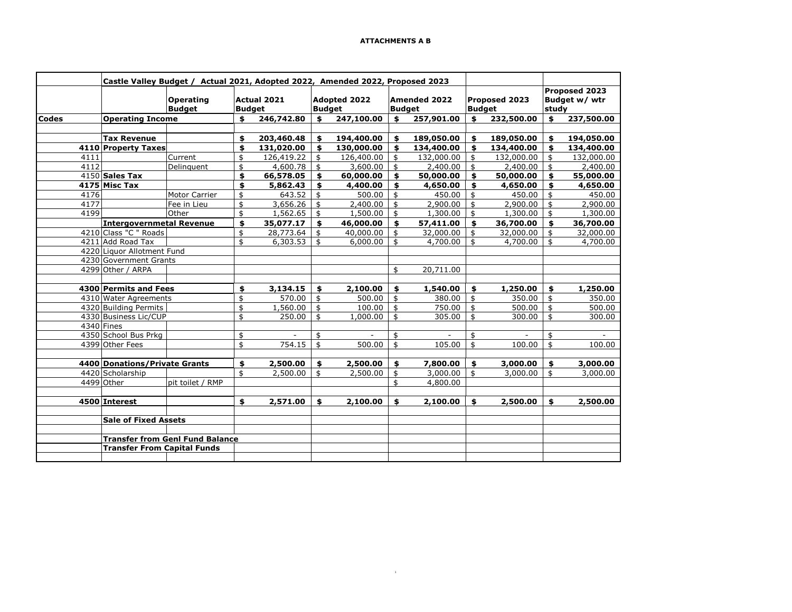$\mathbf{1}$ 

|                                        | Castle Valley Budget / Actual 2021, Adopted 2022, Amended 2022, Proposed 2023 |                                 |                                   |                              |            |                                      |                |                                      |                |                                |            |                                         |            |
|----------------------------------------|-------------------------------------------------------------------------------|---------------------------------|-----------------------------------|------------------------------|------------|--------------------------------------|----------------|--------------------------------------|----------------|--------------------------------|------------|-----------------------------------------|------------|
|                                        |                                                                               |                                 | <b>Operating</b><br><b>Budget</b> | Actual 2021<br><b>Budget</b> |            | <b>Adopted 2022</b><br><b>Budget</b> |                | <b>Amended 2022</b><br><b>Budget</b> |                | Proposed 2023<br><b>Budget</b> |            | Proposed 2023<br>Budget w/ wtr<br>study |            |
| <b>Codes</b>                           |                                                                               | <b>Operating Income</b>         |                                   | \$                           | 246,742.80 | \$                                   | 247,100.00     | \$                                   | 257,901.00     | \$                             | 232,500.00 | \$                                      | 237,500.00 |
|                                        |                                                                               |                                 |                                   |                              |            |                                      |                |                                      |                |                                |            |                                         |            |
|                                        |                                                                               | <b>Tax Revenue</b>              |                                   | \$                           | 203,460.48 | \$                                   | 194,400.00     | \$                                   | 189,050.00     | \$                             | 189,050.00 | \$                                      | 194,050.00 |
|                                        |                                                                               | 4110 Property Taxes             |                                   | \$                           | 131,020.00 | \$                                   | 130,000.00     | \$                                   | 134,400.00     | \$                             | 134,400.00 | \$                                      | 134,400.00 |
|                                        | 4111                                                                          |                                 | Current                           | \$                           | 126,419.22 | \$                                   | 126,400.00     | \$                                   | 132,000.00     | \$                             | 132,000.00 | \$                                      | 132,000.00 |
|                                        | 4112                                                                          |                                 | Delinguent                        | \$                           | 4,600.78   | \$                                   | 3,600.00       | \$                                   | 2,400.00       | \$                             | 2,400.00   | \$                                      | 2,400.00   |
|                                        |                                                                               | 4150 Sales Tax                  |                                   | \$                           | 66,578.05  | \$                                   | 60,000.00      | \$                                   | 50,000.00      | \$                             | 50,000.00  | \$                                      | 55,000.00  |
|                                        |                                                                               | 4175 Misc Tax                   |                                   | \$                           | 5,862.43   | \$                                   | 4,400.00       | \$                                   | 4,650.00       | \$                             | 4,650.00   | \$                                      | 4,650.00   |
|                                        | 4176                                                                          |                                 | Motor Carrier                     | \$                           | 643.52     | \$                                   | 500.00         | \$                                   | 450.00         | \$                             | 450.00     | \$                                      | 450.00     |
|                                        | 4177                                                                          |                                 | Fee in Lieu                       | \$                           | 3,656.26   | \$                                   | 2,400.00       | \$                                   | 2,900.00       | \$                             | 2,900.00   | \$                                      | 2,900.00   |
|                                        | 4199                                                                          |                                 | Other                             | \$                           | 1,562.65   | \$                                   | 1,500.00       | \$                                   | 1,300.00       | \$                             | 1,300.00   | $\frac{4}{3}$                           | 1,300.00   |
|                                        |                                                                               | <b>Intergovernmetal Revenue</b> |                                   | \$                           | 35,077.17  | \$                                   | 46,000.00      | \$                                   | 57,411.00      | \$                             | 36,700.00  | \$                                      | 36,700.00  |
|                                        |                                                                               | 4210 Class "C " Roads           |                                   | \$                           | 28,773.64  | \$                                   | 40,000.00      | \$                                   | 32,000.00      | \$                             | 32,000.00  | $\mathfrak s$                           | 32,000.00  |
|                                        |                                                                               | 4211 Add Road Tax               |                                   | \$                           | 6,303.53   | \$                                   | 6,000.00       | \$                                   | 4,700.00       | \$                             | 4,700.00   | $\frac{1}{2}$                           | 4,700.00   |
|                                        | 4220 Liquor Allotment Fund                                                    |                                 |                                   |                              |            |                                      |                |                                      |                |                                |            |                                         |            |
|                                        | 4230 Government Grants                                                        |                                 |                                   |                              |            |                                      |                |                                      |                |                                |            |                                         |            |
|                                        |                                                                               | 4299 Other / ARPA               |                                   |                              |            |                                      |                | \$                                   | 20,711.00      |                                |            |                                         |            |
|                                        |                                                                               |                                 |                                   |                              |            |                                      |                |                                      |                |                                |            |                                         |            |
|                                        | 4300 Permits and Fees                                                         |                                 | \$                                | 3,134.15                     | \$         | 2,100.00                             | \$             | 1,540.00                             | \$             | 1,250.00                       | \$         | 1,250.00                                |            |
|                                        |                                                                               | 4310 Water Agreements           |                                   | \$                           | 570.00     | \$                                   | 500.00         | \$                                   | 380.00         | \$                             | 350.00     | $\mathbf{\hat{z}}$                      | 350.00     |
|                                        |                                                                               | 4320 Building Permits           |                                   | \$                           | 1,560.00   | \$                                   | 100.00         | \$                                   | 750.00         | \$                             | 500.00     | $\overline{\mathbf{5}}$                 | 500.00     |
|                                        |                                                                               | 4330 Business Lic/CUP           |                                   | \$                           | 250.00     | \$                                   | 1,000.00       | \$                                   | 305.00         | \$                             | 300.00     | \$                                      | 300.00     |
|                                        |                                                                               | 4340 Fines                      |                                   |                              |            |                                      |                |                                      |                |                                |            |                                         |            |
|                                        |                                                                               | 4350 School Bus Prkg            |                                   | \$                           |            | \$                                   | $\blacksquare$ | \$                                   | $\blacksquare$ | \$                             | $\sim$     | \$                                      | $\sim$     |
|                                        |                                                                               | 4399 Other Fees                 |                                   | \$                           | 754.15     | \$                                   | 500.00         | \$                                   | 105.00         | \$                             | 100.00     | \$                                      | 100.00     |
|                                        |                                                                               |                                 |                                   |                              |            |                                      |                |                                      |                |                                |            |                                         |            |
|                                        |                                                                               | 4400 Donations/Private Grants   |                                   | \$                           | 2,500.00   | \$                                   | 2,500.00       | \$                                   | 7,800.00       | \$                             | 3,000.00   | \$                                      | 3,000.00   |
|                                        |                                                                               | 4420 Scholarship                |                                   | \$                           | 2,500.00   | \$                                   | 2,500.00       | \$                                   | 3,000.00       | \$                             | 3,000.00   | $\frac{1}{2}$                           | 3,000.00   |
|                                        |                                                                               | 4499 Other                      | pit toilet / RMP                  |                              |            |                                      |                | \$                                   | 4,800.00       |                                |            |                                         |            |
|                                        |                                                                               |                                 |                                   |                              |            |                                      |                |                                      |                |                                |            |                                         |            |
|                                        |                                                                               | 4500 Interest                   |                                   | \$                           | 2,571.00   | \$                                   | 2,100.00       | \$                                   | 2,100.00       | \$                             | 2,500.00   | \$                                      | 2,500.00   |
|                                        |                                                                               | <b>Sale of Fixed Assets</b>     |                                   |                              |            |                                      |                |                                      |                |                                |            |                                         |            |
|                                        |                                                                               |                                 |                                   |                              |            |                                      |                |                                      |                |                                |            |                                         |            |
| <b>Transfer from Genl Fund Balance</b> |                                                                               |                                 |                                   |                              |            |                                      |                |                                      |                |                                |            |                                         |            |
| <b>Transfer From Capital Funds</b>     |                                                                               |                                 |                                   |                              |            |                                      |                |                                      |                |                                |            |                                         |            |
|                                        |                                                                               |                                 |                                   |                              |            |                                      |                |                                      |                |                                |            |                                         |            |
|                                        |                                                                               |                                 |                                   |                              |            |                                      |                |                                      |                |                                |            |                                         |            |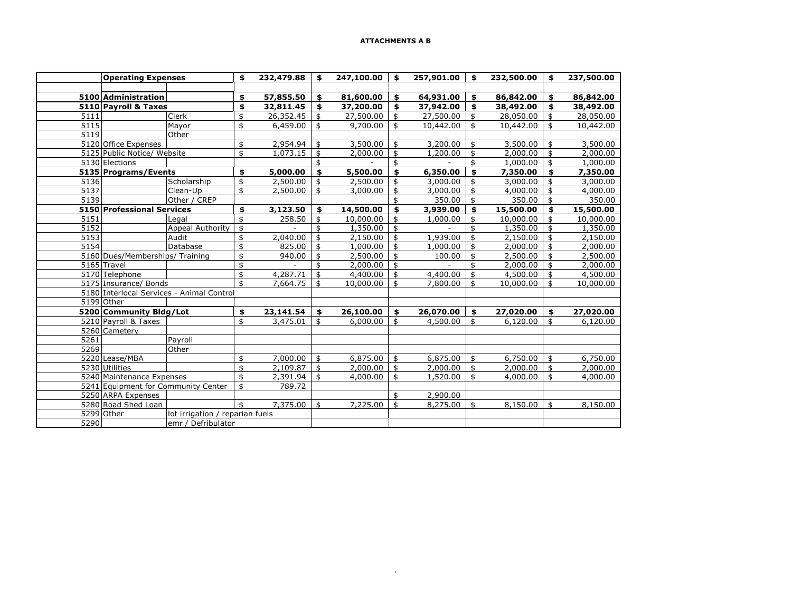| <b>Operating Expenses</b>                 |                                 |    | 232,479.88 | \$<br>247,100.00 | \$<br>257,901.00 | \$<br>232,500.00 | \$<br>237,500.00 |
|-------------------------------------------|---------------------------------|----|------------|------------------|------------------|------------------|------------------|
|                                           |                                 |    |            |                  |                  |                  |                  |
| 5100 Administration                       |                                 | \$ | 57,855.50  | \$<br>81,600.00  | \$<br>64,931.00  | \$<br>86,842.00  | \$<br>86,842.00  |
| 5110 Payroll & Taxes                      |                                 | \$ | 32,811.45  | \$<br>37,200.00  | \$<br>37,942.00  | \$<br>38,492.00  | \$<br>38,492.00  |
| 5111                                      | Clerk                           | \$ | 26,352.45  | \$<br>27,500.00  | \$<br>27,500.00  | \$<br>28,050.00  | \$<br>28,050.00  |
| 5115<br>5119                              | Mayor<br>Other                  | \$ | 6,459.00   | \$<br>9,700.00   | \$<br>10,442.00  | \$<br>10,442.00  | \$<br>10,442.00  |
| 5120 Office Expenses                      |                                 | \$ | 2,954.94   | \$<br>3,500.00   | \$<br>3,200.00   | \$<br>3,500.00   | \$<br>3,500.00   |
| 5125 Public Notice/ Website               |                                 | \$ | 1,073.15   | \$<br>2,000.00   | \$<br>1,200.00   | \$<br>2,000.00   | \$<br>2,000.00   |
| 5130 Elections                            |                                 |    |            | \$               | \$               | \$<br>1,000.00   | \$<br>1,000.00   |
| 5135 Programs/Events                      |                                 | \$ | 5,000.00   | \$<br>5,500.00   | \$<br>6,350.00   | \$<br>7,350.00   | \$<br>7,350.00   |
| 5136                                      | Scholarship                     | \$ | 2,500.00   | \$<br>2,500.00   | \$<br>3,000.00   | \$<br>3,000.00   | \$<br>3,000.00   |
| 5137                                      | Clean-Up                        | \$ | 2,500.00   | \$<br>3,000.00   | \$<br>3,000.00   | \$<br>4,000.00   | \$<br>4,000.00   |
| 5139                                      | Other / CREP                    |    |            |                  | \$<br>350.00     | \$<br>350.00     | \$<br>350.00     |
| 5150 Professional Services                |                                 | \$ | 3,123.50   | \$<br>14,500.00  | \$<br>3,939.00   | \$<br>15,500.00  | \$<br>15,500.00  |
| 5151                                      | Legal                           | \$ | 258.50     | \$<br>10,000.00  | \$<br>1,000.00   | \$<br>10,000.00  | \$<br>10,000.00  |
| 5152                                      | <b>Appeal Authority</b>         | \$ |            | \$<br>1,350.00   | \$               | \$<br>1,350.00   | \$<br>1,350.00   |
| 5153                                      | Audit                           | \$ | 2,040.00   | \$<br>2,150.00   | \$<br>1,939.00   | \$<br>2,150.00   | \$<br>2,150.00   |
| 5154                                      | Database                        | \$ | 825.00     | \$<br>1,000.00   | \$<br>1,000.00   | \$<br>2,000.00   | \$<br>2,000.00   |
| 5160 Dues/Memberships/ Training           |                                 | \$ | 940.00     | \$<br>2,500.00   | \$<br>100.00     | \$<br>2,500.00   | \$<br>2,500.00   |
| 5165 Travel                               |                                 | \$ |            | \$<br>2,000.00   | \$               | \$<br>2,000.00   | \$<br>2,000.00   |
| 5170 Telephone                            |                                 | \$ | 4,287.71   | \$<br>4,400.00   | \$<br>4,400.00   | \$<br>4,500.00   | \$<br>4,500.00   |
| 5175 Insurance/ Bonds                     |                                 | \$ | 7,664.75   | \$<br>10,000.00  | \$<br>7,800.00   | \$<br>10,000.00  | \$<br>10,000.00  |
| 5180 Interlocal Services - Animal Control |                                 |    |            |                  |                  |                  |                  |
| 5199 Other                                |                                 |    |            |                  |                  |                  |                  |
| 5200 Community Bldg/Lot                   |                                 | \$ | 23,141.54  | \$<br>26,100.00  | \$<br>26,070.00  | \$<br>27,020.00  | \$<br>27,020.00  |
| 5210 Payroll & Taxes                      |                                 | \$ | 3,475.01   | \$<br>6,000.00   | \$<br>4,500.00   | \$<br>6,120.00   | \$<br>6,120.00   |
| 5260 Cemetery                             |                                 |    |            |                  |                  |                  |                  |
| 5261                                      | Payroll                         |    |            |                  |                  |                  |                  |
| 5269                                      | Other                           |    |            |                  |                  |                  |                  |
| 5220 Lease/MBA                            |                                 | \$ | 7,000.00   | \$<br>6,875.00   | \$<br>6,875.00   | \$<br>6,750.00   | \$<br>6,750.00   |
| 5230 Utilities                            |                                 | \$ | 2,109.87   | \$<br>2,000.00   | \$<br>2,000.00   | \$<br>2,000.00   | \$<br>2,000.00   |
| 5240 Maintenance Expenses                 |                                 | \$ | 2,391.94   | \$<br>4,000.00   | \$<br>1,520.00   | \$<br>4,000.00   | \$<br>4,000.00   |
| 5241 Equipment for Community Center       |                                 | \$ | 789.72     |                  |                  |                  |                  |
| 5250 ARPA Expenses                        |                                 |    |            |                  | \$<br>2,900.00   |                  |                  |
| 5280 Road Shed Loan                       |                                 | \$ | 7,375.00   | \$<br>7,225.00   | \$<br>8,275.00   | \$<br>8,150.00   | \$<br>8,150.00   |
| 5299 Other                                | lot irrigation / reparian fuels |    |            |                  |                  |                  |                  |
| 5290<br>emr / Defribulator                |                                 |    |            |                  |                  |                  |                  |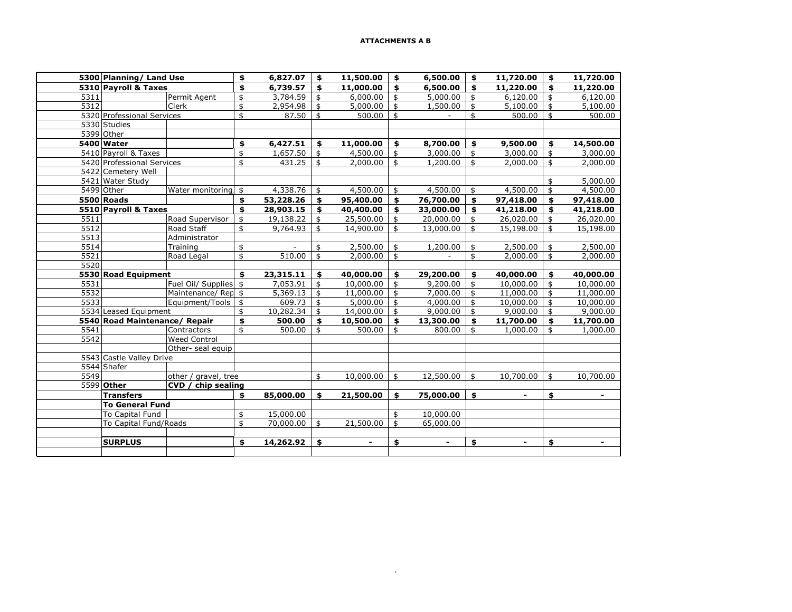|      | 5300 Planning/ Land Use       |                       |               | 6,827.07              | \$<br>11,500.00 | \$<br>6,500.00       | \$           | 11,720.00      | \$             | 11,720.00      |
|------|-------------------------------|-----------------------|---------------|-----------------------|-----------------|----------------------|--------------|----------------|----------------|----------------|
|      | 5310 Pavroll & Taxes          |                       |               | 6,739.57              | \$<br>11,000.00 | \$<br>6,500.00       | $\mathbf{s}$ | 11,220.00      | \$             | 11,220.00      |
| 5311 |                               | Permit Agent          | \$            | 3,784.59              | \$<br>6,000.00  | \$<br>5,000.00       | \$           | 6,120.00       | \$             | 6,120.00       |
| 5312 |                               | Clerk                 | \$            | 2,954.98              | \$<br>5,000.00  | \$<br>1,500.00       | \$           | 5,100.00       | \$             | 5,100.00       |
|      | 5320 Professional Services    |                       | $\ddagger$    | 87.50                 | \$<br>500.00    | \$<br>$\blacksquare$ | \$           | 500.00         | \$             | 500.00         |
|      | 5330 Studies                  |                       |               |                       |                 |                      |              |                |                |                |
|      | 5399 Other                    |                       |               |                       |                 |                      |              |                |                |                |
|      | 5400 Water                    |                       | \$            | 6,427.51              | \$<br>11,000.00 | \$<br>8,700.00       | \$           | 9,500.00       | \$             | 14,500.00      |
|      | 5410 Payroll & Taxes          |                       | $\frac{1}{2}$ | $\overline{1,657.50}$ | \$<br>4,500.00  | \$<br>3,000.00       | \$           | 3,000.00       | $\frac{4}{5}$  | 3,000.00       |
|      | 5420 Professional Services    |                       | \$            | 431.25                | \$<br>2,000.00  | \$<br>1,200.00       | \$           | 2,000.00       | \$             | 2,000.00       |
|      | 5422 Cemetery Well            |                       |               |                       |                 |                      |              |                |                |                |
|      | 5421 Water Study              |                       |               |                       |                 |                      |              |                | \$             | 5,000.00       |
|      | 5499 Other                    | Water monitoring,     | \$            | 4,338.76              | \$<br>4,500.00  | \$<br>4,500.00       | \$           | 4,500.00       | \$             | 4,500.00       |
|      | <b>5500 Roads</b>             |                       | \$            | 53,228.26             | \$<br>95,400.00 | \$<br>76,700.00      | \$           | 97,418.00      | \$             | 97,418.00      |
|      | 5510 Payroll & Taxes          |                       | \$            | 28,903.15             | \$<br>40,400.00 | \$<br>33,000.00      | \$           | 41,218.00      | \$             | 41,218.00      |
| 5511 |                               | Road Supervisor       | \$            | 19,138.22             | \$<br>25,500.00 | \$<br>20,000.00      | \$           | 26,020.00      | \$             | 26,020.00      |
| 5512 |                               | Road Staff            | \$            | 9,764.93              | \$<br>14,900.00 | \$<br>13,000.00      | \$           | 15,198.00      | \$             | 15,198.00      |
| 5513 |                               | Administrator         |               |                       |                 |                      |              |                |                |                |
| 5514 |                               | Training              | \$            |                       | \$<br>2,500.00  | \$<br>1,200.00       | \$           | 2,500.00       | \$             | 2,500.00       |
| 5521 |                               | Road Legal            | \$            | 510.00                | \$<br>2,000.00  | \$<br>$\sim$         | \$           | 2,000.00       | $\mathfrak{s}$ | 2,000.00       |
| 5520 |                               |                       |               |                       |                 |                      |              |                |                |                |
|      | 5530 Road Equipment           |                       | \$            | 23,315.11             | \$<br>40,000.00 | \$<br>29,200.00      | \$           | 40,000.00      | \$             | 40,000.00      |
| 5531 |                               | Fuel Oil/ Supplies \$ |               | 7,053.91              | \$<br>10,000.00 | \$<br>9,200.00       | \$           | 10,000.00      | \$             | 10,000.00      |
| 5532 |                               | Maintenance/Rep \$    |               | 5,369.13              | \$<br>11,000.00 | \$<br>7,000.00       | \$           | 11,000.00      | \$             | 11,000.00      |
| 5533 |                               | Equipment/Tools       | $\frac{1}{2}$ | 609.73                | \$<br>5,000.00  | \$<br>4,000.00       | \$           | 10,000.00      | $\mathfrak{s}$ | 10,000.00      |
|      | 5534 Leased Equipment         |                       | \$            | 10,282.34             | \$<br>14,000.00 | \$<br>9,000.00       | \$           | 9,000.00       | \$             | 9,000.00       |
|      | 5540 Road Maintenance/ Repair |                       | \$            | 500.00                | \$<br>10,500.00 | \$<br>13,300.00      | \$           | 11,700.00      | \$             | 11,700.00      |
| 5541 |                               | Contractors           | \$            | 500.00                | \$<br>500.00    | \$<br>800.00         | \$           | 1,000.00       | \$             | 1,000.00       |
| 5542 |                               | <b>Weed Control</b>   |               |                       |                 |                      |              |                |                |                |
|      |                               | Other- seal equip     |               |                       |                 |                      |              |                |                |                |
|      | 5543 Castle Valley Drive      |                       |               |                       |                 |                      |              |                |                |                |
|      | 5544 Shafer                   |                       |               |                       |                 |                      |              |                |                |                |
| 5549 |                               | other / gravel, tree  |               |                       | \$<br>10,000.00 | \$<br>12,500.00      | \$           | 10,700.00      | \$             | 10,700.00      |
|      | 5599 Other                    | CVD / chip sealing    |               |                       |                 |                      |              |                |                |                |
|      | <b>Transfers</b>              |                       | \$            | 85,000.00             | \$<br>21,500.00 | \$<br>75,000.00      | \$           | $\blacksquare$ | \$             | $\blacksquare$ |
|      | <b>To General Fund</b>        |                       |               |                       |                 |                      |              |                |                |                |
|      | <b>To Capital Fund</b>        |                       | \$            | 15,000.00             |                 | \$<br>10,000.00      |              |                |                |                |
|      | To Capital Fund/Roads         |                       | \$            | 70,000.00             | \$<br>21,500.00 | \$<br>65,000.00      |              |                |                |                |
|      |                               |                       |               |                       |                 |                      |              |                |                |                |
|      | <b>SURPLUS</b>                |                       | \$            | 14,262.92             | \$              | \$                   | \$           | $\blacksquare$ | \$             | $\blacksquare$ |
|      |                               |                       |               |                       |                 |                      |              |                |                |                |